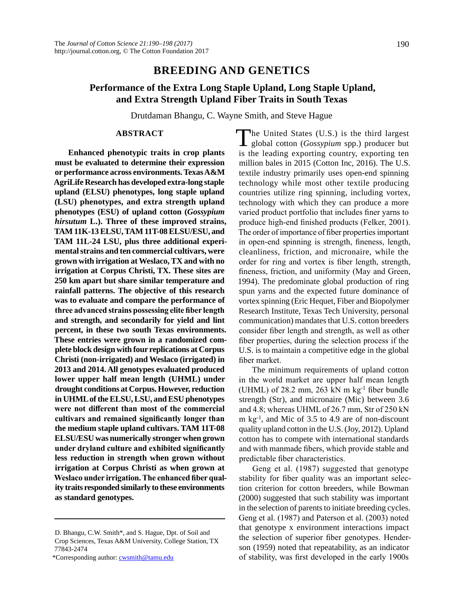## **BREEDING AND GENETICS**

# **Performance of the Extra Long Staple Upland, Long Staple Upland, and Extra Strength Upland Fiber Traits in South Texas**

Drutdaman Bhangu, C. Wayne Smith, and Steve Hague

### **ABSTRACT**

**Enhanced phenotypic traits in crop plants must be evaluated to determine their expression or performance across environments. Texas A&M AgriLife Research has developed extra-long staple upland (ELSU) phenotypes, long staple upland (LSU) phenotypes, and extra strength upland phenotypes (ESU) of upland cotton (***Gossypium hirsutum* **L.). Three of these improved strains, TAM 11K-13 ELSU, TAM 11T-08 ELSU/ESU, and TAM 11L-24 LSU, plus three additional experimental strains and ten commercial cultivars, were grown with irrigation at Weslaco, TX and with no irrigation at Corpus Christi, TX. These sites are 250 km apart but share similar temperature and rainfall patterns. The objective of this research was to evaluate and compare the performance of three advanced strains possessing elite fiber length and strength, and secondarily for yield and lint percent, in these two south Texas environments. These entries were grown in a randomized complete block design with four replications at Corpus Christi (non-irrigated) and Weslaco (irrigated) in 2013 and 2014. All genotypes evaluated produced lower upper half mean length (UHML) under drought conditions at Corpus. However, reduction in UHML of the ELSU, LSU, and ESU phenotypes were not different than most of the commercial cultivars and remained significantly longer than the medium staple upland cultivars. TAM 11T-08 ELSU/ESU was numerically stronger when grown under dryland culture and exhibited significantly less reduction in strength when grown without irrigation at Corpus Christi as when grown at Weslaco under irrigation. The enhanced fiber quality traits responded similarly to these environments as standard genotypes.**

The United States (U.S.) is the third largest global cotton (*Gossypium* spp.) producer but is the leading exporting country, exporting ten million bales in 2015 (Cotton Inc, 2016). The U.S. textile industry primarily uses open-end spinning technology while most other textile producing countries utilize ring spinning, including vortex, technology with which they can produce a more varied product portfolio that includes finer yarns to produce high-end finished products (Felker, 2001). The order of importance of fiber properties important in open-end spinning is strength, fineness, length, cleanliness, friction, and micronaire, while the order for ring and vortex is fiber length, strength, fineness, friction, and uniformity (May and Green, 1994). The predominate global production of ring spun yarns and the expected future dominance of vortex spinning (Eric Hequet, Fiber and Biopolymer Research Institute, Texas Tech University, personal communication) mandates that U.S. cotton breeders consider fiber length and strength, as well as other fiber properties, during the selection process if the U.S. is to maintain a competitive edge in the global fiber market.

The minimum requirements of upland cotton in the world market are upper half mean length (UHML) of 28.2 mm, 263 kN m  $kg^{-1}$  fiber bundle strength (Str), and micronaire (Mic) between 3.6 and 4.8; whereas UHML of 26.7 mm, Str of 250 kN m kg-1, and Mic of 3.5 to 4.9 are of non-discount quality upland cotton in the U.S. (Joy, 2012). Upland cotton has to compete with international standards and with manmade fibers, which provide stable and predictable fiber characteristics.

Geng et al. (1987) suggested that genotype stability for fiber quality was an important selection criterion for cotton breeders, while Bowman (2000) suggested that such stability was important in the selection of parents to initiate breeding cycles. Geng et al. (1987) and Paterson et al. (2003) noted that genotype x environment interactions impact the selection of superior fiber genotypes. Henderson (1959) noted that repeatability, as an indicator of stability, was first developed in the early 1900s

D. Bhangu, C.W. Smith\*, and S. Hague, Dpt. of Soil and Crop Sciences, Texas A&M University, College Station, TX 77843-2474

<sup>\*</sup>Corresponding author: [cwsmith@tamu.edu](mailto:cwsmith@tamu.edu)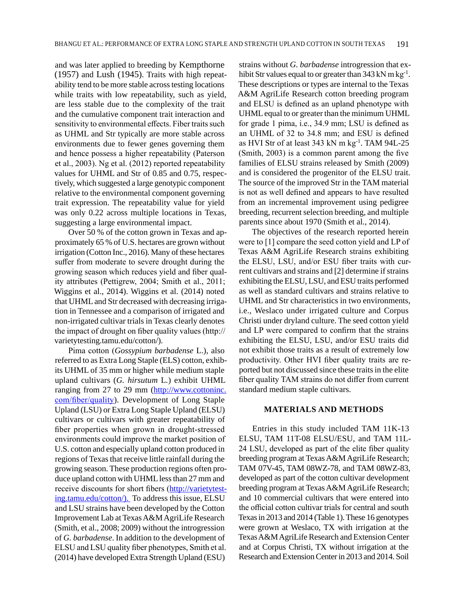and was later applied to breeding by Kempthorne (1957) and Lush (1945). Traits with high repeatability tend to be more stable across testing locations while traits with low repeatability, such as yield, are less stable due to the complexity of the trait and the cumulative component trait interaction and sensitivity to environmental effects. Fiber traits such as UHML and Str typically are more stable across environments due to fewer genes governing them and hence possess a higher repeatability (Paterson et al., 2003). Ng et al. (2012) reported repeatability values for UHML and Str of 0.85 and 0.75, respectively, which suggested a large genotypic component relative to the environmental component governing trait expression. The repeatability value for yield was only 0.22 across multiple locations in Texas, suggesting a large environmental impact.

Over 50 % of the cotton grown in Texas and approximately 65 % of U.S. hectares are grown without irrigation (Cotton Inc., 2016). Many of these hectares suffer from moderate to severe drought during the growing season which reduces yield and fiber quality attributes (Pettigrew, 2004; Smith et al., 2011; Wiggins et al., 2014). Wiggins et al. (2014) noted that UHML and Str decreased with decreasing irrigation in Tennessee and a comparison of irrigated and non-irrigated cultivar trials in Texas clearly denotes the impact of drought on fiber quality values (http:// varietytesting.tamu.edu/cotton/).

Pima cotton (*Gossypium barbadense* L.), also referred to as Extra Long Staple (ELS) cotton, exhibits UHML of 35 mm or higher while medium staple upland cultivars (*G. hirsutum* L*.*) exhibit UHML ranging from 27 to 29 mm ([http://www.cottoninc.](http://www.cottoninc.com/fiber/quality) [com/fiber/quality](http://www.cottoninc.com/fiber/quality)). Development of Long Staple Upland (LSU) or Extra Long Staple Upland (ELSU) cultivars or cultivars with greater repeatability of fiber properties when grown in drought-stressed environments could improve the market position of U.S. cotton and especially upland cotton produced in regions of Texas that receive little rainfall during the growing season. These production regions often produce upland cotton with UHML less than 27 mm and receive discounts for short fibers ([http://varietytest](http://varietytesting.tamu.edu/cotton/).%20%20)[ing.tamu.edu/cotton/\).](http://varietytesting.tamu.edu/cotton/).%20%20) To address this issue, ELSU and LSU strains have been developed by the Cotton Improvement Lab at Texas A&M AgriLife Research (Smith, et al., 2008; 2009) without the introgression of *G. barbadense*. In addition to the development of ELSU and LSU quality fiber phenotypes, Smith et al. (2014) have developed Extra Strength Upland (ESU)

strains without *G. barbadense* introgression that exhibit Str values equal to or greater than 343 kN m kg<sup>-1</sup>. These descriptions or types are internal to the Texas A&M AgriLife Research cotton breeding program and ELSU is defined as an upland phenotype with UHML equal to or greater than the minimum UHML for grade 1 pima, i.e., 34.9 mm; LSU is defined as an UHML of 32 to 34.8 mm; and ESU is defined as HVI Str of at least 343 kN m kg-1. TAM 94L-25 (Smith, 2003) is a common parent among the five families of ELSU strains released by Smith (2009) and is considered the progenitor of the ELSU trait. The source of the improved Str in the TAM material is not as well defined and appears to have resulted from an incremental improvement using pedigree breeding, recurrent selection breeding, and multiple parents since about 1970 (Smith et al., 2014).

The objectives of the research reported herein were to [1] compare the seed cotton yield and LP of Texas A&M AgriLife Research strains exhibiting the ELSU, LSU, and/or ESU fiber traits with current cultivars and strains and [2] determine if strains exhibiting the ELSU, LSU, and ESU traits performed as well as standard cultivars and strains relative to UHML and Str characteristics in two environments, i.e., Weslaco under irrigated culture and Corpus Christi under dryland culture. The seed cotton yield and LP were compared to confirm that the strains exhibiting the ELSU, LSU, and/or ESU traits did not exhibit those traits as a result of extremely low productivity. Other HVI fiber quality traits are reported but not discussed since these traits in the elite fiber quality TAM strains do not differ from current standard medium staple cultivars.

#### **MATERIALS AND METHODS**

Entries in this study included TAM 11K-13 ELSU, TAM 11T-08 ELSU/ESU, and TAM 11L-24 LSU, developed as part of the elite fiber quality breeding program at Texas A&M AgriLife Research; TAM 07V-45, TAM 08WZ-78, and TAM 08WZ-83, developed as part of the cotton cultivar development breeding program at Texas A&M AgriLife Research; and 10 commercial cultivars that were entered into the official cotton cultivar trials for central and south Texas in 2013 and 2014 (Table 1). These 16 genotypes were grown at Weslaco, TX with irrigation at the Texas A&M AgriLife Research and Extension Center and at Corpus Christi, TX without irrigation at the Research and Extension Center in 2013 and 2014. Soil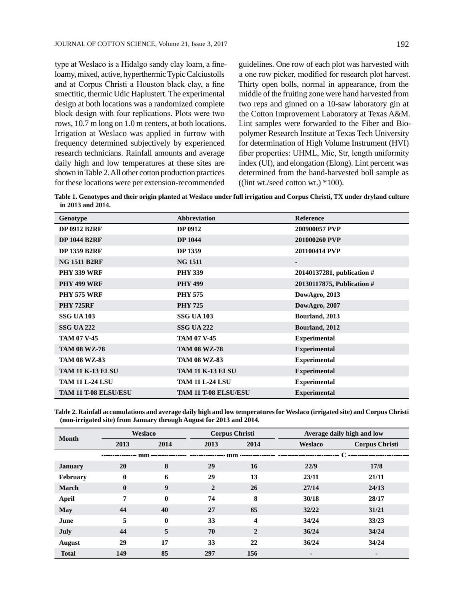type at Weslaco is a Hidalgo sandy clay loam, a fineloamy, mixed, active, hyperthermic Typic Calciustolls and at Corpus Christi a Houston black clay, a fine smectitic, thermic Udic Haplustert. The experimental design at both locations was a randomized complete block design with four replications. Plots were two rows, 10.7 m long on 1.0 m centers, at both locations. Irrigation at Weslaco was applied in furrow with frequency determined subjectively by experienced research technicians. Rainfall amounts and average daily high and low temperatures at these sites are shown in Table 2. All other cotton production practices for these locations were per extension-recommended

guidelines. One row of each plot was harvested with a one row picker, modified for research plot harvest. Thirty open bolls, normal in appearance, from the middle of the fruiting zone were hand harvested from two reps and ginned on a 10-saw laboratory gin at the Cotton Improvement Laboratory at Texas A&M. Lint samples were forwarded to the Fiber and Biopolymer Research Institute at Texas Tech University for determination of High Volume Instrument (HVI) fiber properties: UHML, Mic, Str, length uniformity index (UI), and elongation (Elong). Lint percent was determined from the hand-harvested boll sample as ((lint wt./seed cotton wt.)  $*100$ ).

**Table 1. Genotypes and their origin planted at Weslaco under full irrigation and Corpus Christi, TX under dryland culture in 2013 and 2014.**

| Genotype                    | <b>Abbreviation</b>         | Reference                    |
|-----------------------------|-----------------------------|------------------------------|
| <b>DP 0912 B2RF</b>         | <b>DP 0912</b>              | 200900057 PVP                |
| <b>DP 1044 B2RF</b>         | <b>DP</b> 1044              | 201000260 PVP                |
| <b>DP 1359 B2RF</b>         | <b>DP</b> 1359              | 201100414 PVP                |
| <b>NG 1511 B2RF</b>         | <b>NG 1511</b>              |                              |
| <b>PHY 339 WRF</b>          | <b>PHY 339</b>              | 20140137281, publication $#$ |
| <b>PHY 499 WRF</b>          | <b>PHY 499</b>              | 20130117875, Publication #   |
| <b>PHY 575 WRF</b>          | <b>PHY 575</b>              | DowAgro, 2013                |
| <b>PHY 725RF</b>            | <b>PHY 725</b>              | DowAgro, 2007                |
| <b>SSG UA 103</b>           | <b>SSG UA 103</b>           | Bourland, 2013               |
| SSG UA 222                  | <b>SSG UA 222</b>           | Bourland, 2012               |
| <b>TAM 07 V-45</b>          | <b>TAM 07 V-45</b>          | <b>Experimental</b>          |
| <b>TAM 08 WZ-78</b>         | <b>TAM 08 WZ-78</b>         | <b>Experimental</b>          |
| <b>TAM 08 WZ-83</b>         | <b>TAM 08 WZ-83</b>         | <b>Experimental</b>          |
| <b>TAM 11 K-13 ELSU</b>     | <b>TAM 11 K-13 ELSU</b>     | <b>Experimental</b>          |
| <b>TAM 11 L-24 LSU</b>      | <b>TAM 11 L-24 LSU</b>      | <b>Experimental</b>          |
| <b>TAM 11 T-08 ELSU/ESU</b> | <b>TAM 11 T-08 ELSU/ESU</b> | <b>Experimental</b>          |

| Table 2. Rainfall accumulations and average daily high and low temperatures for Weslaco (irrigated site) and Corpus Christi |  |
|-----------------------------------------------------------------------------------------------------------------------------|--|
| (non-irrigated site) from January through August for 2013 and 2014.                                                         |  |

| <b>Month</b>   | Weslaco      |              |              | <b>Corpus Christi</b>   | Average daily high and low |                       |  |
|----------------|--------------|--------------|--------------|-------------------------|----------------------------|-----------------------|--|
|                | 2013         | 2014         | 2013         | 2014                    | <b>Weslaco</b>             | <b>Corpus Christi</b> |  |
|                | mm           |              | mm           |                         |                            |                       |  |
| <b>January</b> | <b>20</b>    | 8            | 29           | 16                      | 22/9                       | 17/8                  |  |
| February       | $\bf{0}$     | 6            | 29           | 13                      | 23/11                      | 21/11                 |  |
| March          | $\mathbf{0}$ | 9            | $\mathbf{2}$ | 26                      | 27/14                      | 24/13                 |  |
| April          | 7            | $\mathbf{0}$ | 74           | 8                       | 30/18                      | 28/17                 |  |
| May            | 44           | 40           | 27           | 65                      | 32/22                      | 31/21                 |  |
| June           | 5            | $\bf{0}$     | 33           | $\overline{\mathbf{4}}$ | 34/24                      | 33/23                 |  |
| July           | 44           | 5            | 70           | $\overline{2}$          | 36/24                      | 34/24                 |  |
| August         | 29           | 17           | 33           | 22                      | 36/24                      | 34/24                 |  |
| <b>Total</b>   | 149          | 85           | 297          | 156                     | ۰                          | -                     |  |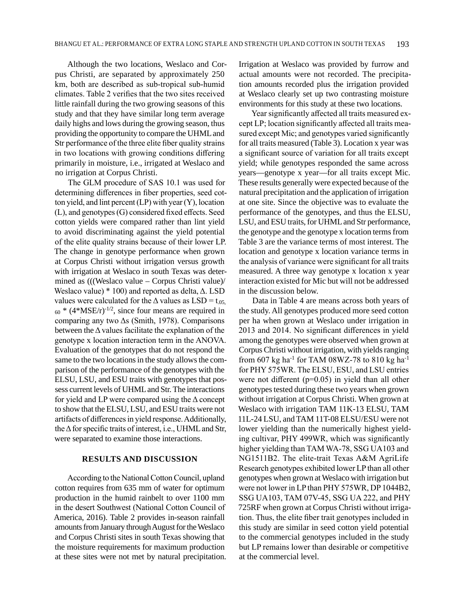Although the two locations, Weslaco and Corpus Christi, are separated by approximately 250 km, both are described as sub-tropical sub-humid climates. Table 2 verifies that the two sites received little rainfall during the two growing seasons of this study and that they have similar long term average daily highs and lows during the growing season, thus providing the opportunity to compare the UHML and Str performance of the three elite fiber quality strains in two locations with growing conditions differing primarily in moisture, i.e., irrigated at Weslaco and no irrigation at Corpus Christi.

The GLM procedure of SAS 10.1 was used for determining differences in fiber properties, seed cotton yield, and lint percent (LP) with year (Y), location (L), and genotypes (G) considered fixed effects. Seed cotton yields were compared rather than lint yield to avoid discriminating against the yield potential of the elite quality strains because of their lower LP. The change in genotype performance when grown at Corpus Christi without irrigation versus growth with irrigation at Weslaco in south Texas was determined as (((Weslaco value – Corpus Christi value)/ Weslaco value) \* 100) and reported as delta, Δ. LSD values were calculated for the  $\Delta$  values as  $LSD = t_{.05}$ ,  $60 * (4 * MSE/r)^{-1/2}$ , since four means are required in comparing any two Δs (Smith, 1978). Comparisons between the  $\Delta$  values facilitate the explanation of the genotype x location interaction term in the ANOVA. Evaluation of the genotypes that do not respond the same to the two locations in the study allows the comparison of the performance of the genotypes with the ELSU, LSU, and ESU traits with genotypes that possess current levels of UHML and Str. The interactions for yield and LP were compared using the  $\Delta$  concept to show that the ELSU, LSU, and ESU traits were not artifacts of differences in yield response. Additionally, the Δ for specific traits of interest, i.e., UHML and Str, were separated to examine those interactions.

## **RESULTS AND DISCUSSION**

According to the National Cotton Council, upland cotton requires from 635 mm of water for optimum production in the humid rainbelt to over 1100 mm in the desert Southwest (National Cotton Council of America, 2016). Table 2 provides in-season rainfall amounts from January through August for the Weslaco and Corpus Christi sites in south Texas showing that the moisture requirements for maximum production at these sites were not met by natural precipitation. Irrigation at Weslaco was provided by furrow and actual amounts were not recorded. The precipitation amounts recorded plus the irrigation provided at Weslaco clearly set up two contrasting moisture environments for this study at these two locations.

Year significantly affected all traits measured except LP; location significantly affected all traits measured except Mic; and genotypes varied significantly for all traits measured (Table 3). Location x year was a significant source of variation for all traits except yield; while genotypes responded the same across years—genotype x year—for all traits except Mic. These results generally were expected because of the natural precipitation and the application of irrigation at one site. Since the objective was to evaluate the performance of the genotypes, and thus the ELSU, LSU, and ESU traits, for UHML and Str performance, the genotype and the genotype x location terms from Table 3 are the variance terms of most interest. The location and genotype x location variance terms in the analysis of variance were significant for all traits measured. A three way genotype x location x year interaction existed for Mic but will not be addressed in the discussion below.

Data in Table 4 are means across both years of the study. All genotypes produced more seed cotton per ha when grown at Weslaco under irrigation in 2013 and 2014. No significant differences in yield among the genotypes were observed when grown at Corpus Christi without irrigation, with yields ranging from 607 kg ha<sup>-1</sup> for TAM 08WZ-78 to 810 kg ha<sup>-1</sup> for PHY 575WR. The ELSU, ESU, and LSU entries were not different (p=0.05) in yield than all other genotypes tested during these two years when grown without irrigation at Corpus Christi. When grown at Weslaco with irrigation TAM 11K-13 ELSU, TAM 11L-24 LSU, and TAM 11T-08 ELSU/ESU were not lower yielding than the numerically highest yielding cultivar, PHY 499WR, which was significantly higher yielding than TAM WA-78, SSG UA103 and NG1511B2. The elite-trait Texas A&M AgriLife Research genotypes exhibited lower LP than all other genotypes when grown at Weslaco with irrigation but were not lower in LP than PHY 575WR, DP 1044B2, SSG UA103, TAM 07V-45, SSG UA 222, and PHY 725RF when grown at Corpus Christi without irrigation. Thus, the elite fiber trait genotypes included in this study are similar in seed cotton yield potential to the commercial genotypes included in the study but LP remains lower than desirable or competitive at the commercial level.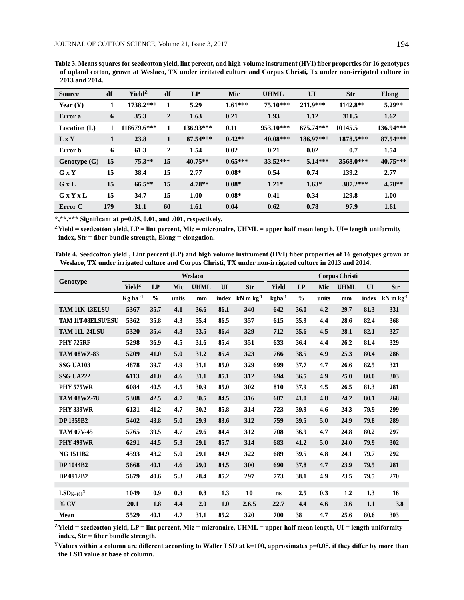**Table 3. Means squares for seedcotton yield, lint percent, and high-volume instrument (HVI) fiber properties for 16 genotypes of upland cotton, grown at Weslaco, TX under irritated culture and Corpus Christi, Tx under non-irrigated culture in 2013 and 2014.**

| <b>Source</b>         | df  | Yield <sup>Z</sup> | df             | LP        | Mic       | <b>UHML</b> | UI        | <b>Str</b> | Elong      |
|-----------------------|-----|--------------------|----------------|-----------|-----------|-------------|-----------|------------|------------|
| Year $(Y)$            | 1   | 1738.2***          | 1              | 5.29      | $1.61***$ | 75.10***    | 211.9***  | 1142.8**   | $5.29**$   |
| Error a               | 6   | 35.3               | $\overline{2}$ | 1.63      | 0.21      | 1.93        | 1.12      | 311.5      | 1.62       |
| Location $(L)$        | 1   | 118679.6***        | 1              | 136.93*** | 0.11      | 953.10***   | 675.74*** | 10145.5    | 136.94***  |
| <b>LxY</b>            | 1   | 23.8               | $\mathbf{1}$   | 87.54***  | $0.42**$  | 40.08***    | 186.97*** | 1878.5***  | 87.54***   |
| Error b               | 6   | 61.3               | 2              | 1.54      | 0.02      | 0.21        | 0.02      | 0.7        | 1.54       |
| Genotype (G)          | 15  | $75.3**$           | 15             | $40.75**$ | $0.65***$ | $33.52***$  | $5.14***$ | 3568.0***  | $40.75***$ |
| $G \times Y$          | 15  | 38.4               | 15             | 2.77      | $0.08*$   | 0.54        | 0.74      | 139.2      | 2.77       |
| $G \times L$          | 15  | $66.5***$          | 15             | $4.78**$  | $0.08*$   | $1.21*$     | $1.63*$   | 387.2***   | $4.78**$   |
| $G \times Y \times L$ | 15  | 34.7               | 15             | 1.00      | $0.08*$   | 0.41        | 0.34      | 129.8      | 1.00       |
| <b>Error</b> C        | 179 | 31.1               | 60             | 1.61      | 0.04      | 0.62        | 0.78      | 97.9       | 1.61       |

**\*,\*\*,\*\*\* Significant at p=0.05, 0.01, and .001, respectively.**

**<sup>Z</sup>Yield = seedcotton yield, LP = lint percent, Mic = micronaire, UHML = upper half mean length, UI= length uniformity index, Str = fiber bundle strength, Elong = elongation.**

**Table 4. Seedcotton yield , Lint percent (LP) and high volume instrument (HVI) fiber properties of 16 genotypes grown at Weslaco, TX under irrigated culture and Corpus Christi, TX under non-irrigated culture in 2013 and 2014.**

| Genotype                  | <b>Weslaco</b>     |               |       |             |       | <b>Corpus Christi</b> |              |               |       |             |       |                  |
|---------------------------|--------------------|---------------|-------|-------------|-------|-----------------------|--------------|---------------|-------|-------------|-------|------------------|
|                           | Yield <sup>Z</sup> | LP            | Mic   | <b>UHML</b> | UI    | <b>Str</b>            | <b>Yield</b> | LP            | Mic   | <b>UHML</b> | UI    | Str              |
|                           | Kg ha $^{-1}$      | $\frac{0}{0}$ | units | mm          | index | $kN$ m $kg-1$         | kgha-1       | $\frac{0}{0}$ | units | mm          | index | $kN$ m $kg^{-1}$ |
| TAM 11K-13ELSU            | 5367               | 35.7          | 4.1   | 36.6        | 86.1  | 340                   | 642          | 36.0          | 4.2   | 29.7        | 81.3  | 331              |
| <b>TAM 11T-08ELSU/ESU</b> | 5362               | 35.8          | 4.3   | 35.4        | 86.5  | 357                   | 615          | 35.9          | 4.4   | 28.6        | 82.4  | 368              |
| <b>TAM 11L-24LSU</b>      | 5320               | 35.4          | 4.3   | 33.5        | 86.4  | 329                   | 712          | 35.6          | 4.5   | 28.1        | 82.1  | 327              |
| <b>PHY 725RF</b>          | 5298               | 36.9          | 4.5   | 31.6        | 85.4  | 351                   | 633          | 36.4          | 4.4   | 26.2        | 81.4  | 329              |
| <b>TAM 08WZ-83</b>        | 5209               | 41.0          | 5.0   | 31.2        | 85.4  | 323                   | 766          | 38.5          | 4.9   | 25.3        | 80.4  | 286              |
| SSG UA103                 | 4878               | 39.7          | 4.9   | 31.1        | 85.0  | 329                   | 699          | 37.7          | 4.7   | 26.6        | 82.5  | 321              |
| <b>SSG UA222</b>          | 6113               | 41.0          | 4.6   | 31.1        | 85.1  | 312                   | 694          | 36.5          | 4.9   | 25.0        | 80.0  | 303              |
| <b>PHY 575WR</b>          | 6084               | 40.5          | 4.5   | 30.9        | 85.0  | 302                   | 810          | 37.9          | 4.5   | 26.5        | 81.3  | 281              |
| <b>TAM 08WZ-78</b>        | 5308               | 42.5          | 4.7   | 30.5        | 84.5  | 316                   | 607          | 41.0          | 4.8   | 24.2        | 80.1  | 268              |
| <b>PHY 339WR</b>          | 6131               | 41.2          | 4.7   | 30.2        | 85.8  | 314                   | 723          | 39.9          | 4.6   | 24.3        | 79.9  | 299              |
| DP 1359B2                 | 5402               | 43.8          | 5.0   | 29.9        | 83.6  | 312                   | 759          | 39.5          | 5.0   | 24.9        | 79.8  | 289              |
| <b>TAM 07V-45</b>         | 5765               | 39.5          | 4.7   | 29.6        | 84.4  | 312                   | 708          | 36.9          | 4.7   | 24.8        | 80.2  | 297              |
| <b>PHY 499WR</b>          | 6291               | 44.5          | 5.3   | 29.1        | 85.7  | 314                   | 683          | 41.2          | 5.0   | 24.0        | 79.9  | 302              |
| <b>NG 1511B2</b>          | 4593               | 43.2          | 5.0   | 29.1        | 84.9  | 322                   | 689          | 39.5          | 4.8   | 24.1        | 79.7  | 292              |
| <b>DP 1044B2</b>          | 5668               | 40.1          | 4.6   | 29.0        | 84.5  | 300                   | 690          | 37.8          | 4.7   | 23.9        | 79.5  | 281              |
| DP 0912B2                 | 5679               | 40.6          | 5.3   | 28.4        | 85.2  | 297                   | 773          | 38.1          | 4.9   | 23.5        | 79.5  | 270              |
|                           |                    |               |       |             |       |                       |              |               |       |             |       |                  |
| $LSD_{K=100}Y$            | 1049               | 0.9           | 0.3   | 0.8         | 1.3   | 10                    | ns           | 2.5           | 0.3   | 1.2         | 1.3   | 16               |
| $%$ CV                    | 20.1               | 1.8           | 4.4   | 2.0         | 1.0   | 2.6.5                 | 22.7         | 4.4           | 4.6   | 3.6         | 1.1   | 3.8              |
| Mean                      | 5529               | 40.1          | 4.7   | 31.1        | 85.2  | 320                   | 700          | 38            | 4.7   | 25.6        | 80.6  | 303              |

**<sup>Z</sup>Yield = seedcotton yield, LP = lint percent, Mic = micronaire, UHML = upper half mean length, UI = length uniformity index, Str = fiber bundle strength.**

**<sup>Y</sup>Values within a column are different according to Waller LSD at k=100, approximates p=0.05, if they differ by more than the LSD value at base of column.**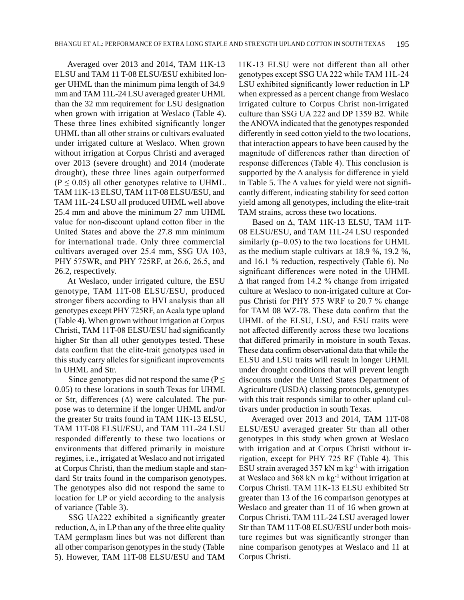Averaged over 2013 and 2014, TAM 11K-13 ELSU and TAM 11 T-08 ELSU/ESU exhibited longer UHML than the minimum pima length of 34.9 mm and TAM 11L-24 LSU averaged greater UHML than the 32 mm requirement for LSU designation when grown with irrigation at Weslaco (Table 4). These three lines exhibited significantly longer UHML than all other strains or cultivars evaluated under irrigated culture at Weslaco. When grown without irrigation at Corpus Christi and averaged over 2013 (severe drought) and 2014 (moderate drought), these three lines again outperformed  $(P \le 0.05)$  all other genotypes relative to UHML. TAM 11K-13 ELSU, TAM 11T-08 ELSU/ESU, and TAM 11L-24 LSU all produced UHML well above 25.4 mm and above the minimum 27 mm UHML value for non-discount upland cotton fiber in the United States and above the 27.8 mm minimum for international trade. Only three commercial cultivars averaged over 25.4 mm, SSG UA 103, PHY 575WR, and PHY 725RF, at 26.6, 26.5, and 26.2, respectively.

At Weslaco, under irrigated culture, the ESU genotype, TAM 11T-08 ELSU/ESU, produced stronger fibers according to HVI analysis than all genotypes except PHY 725RF, an Acala type upland (Table 4). When grown without irrigation at Corpus Christi, TAM 11T-08 ELSU/ESU had significantly higher Str than all other genotypes tested. These data confirm that the elite-trait genotypes used in this study carry alleles for significant improvements in UHML and Str.

Since genotypes did not respond the same ( $P \leq$ 0.05) to these locations in south Texas for UHML or Str, differences  $(\Delta)$  were calculated. The purpose was to determine if the longer UHML and/or the greater Str traits found in TAM 11K-13 ELSU, TAM 11T-08 ELSU/ESU, and TAM 11L-24 LSU responded differently to these two locations or environments that differed primarily in moisture regimes, i.e., irrigated at Weslaco and not irrigated at Corpus Christi, than the medium staple and standard Str traits found in the comparison genotypes. The genotypes also did not respond the same to location for LP or yield according to the analysis of variance (Table 3).

SSG UA222 exhibited a significantly greater reduction,  $\Delta$ , in LP than any of the three elite quality TAM germplasm lines but was not different than all other comparison genotypes in the study (Table 5). However, TAM 11T-08 ELSU/ESU and TAM 11K-13 ELSU were not different than all other genotypes except SSG UA 222 while TAM 11L-24 LSU exhibited significantly lower reduction in LP when expressed as a percent change from Weslaco irrigated culture to Corpus Christ non-irrigated culture than SSG UA 222 and DP 1359 B2. While the ANOVA indicated that the genotypes responded differently in seed cotton yield to the two locations, that interaction appears to have been caused by the magnitude of differences rather than direction of response differences (Table 4). This conclusion is supported by the  $\Delta$  analysis for difference in yield in Table 5. The  $\Delta$  values for yield were not significantly different, indicating stability for seed cotton yield among all genotypes, including the elite-trait TAM strains, across these two locations.

Based on Δ, TAM 11K-13 ELSU, TAM 11T-08 ELSU/ESU, and TAM 11L-24 LSU responded similarly ( $p=0.05$ ) to the two locations for UHML as the medium staple cultivars at 18.9 %, 19.2 %, and 16.1 % reduction, respectively (Table 6). No significant differences were noted in the UHML Δ that ranged from 14.2 % change from irrigated culture at Weslaco to non-irrigated culture at Corpus Christi for PHY 575 WRF to 20.7 % change for TAM 08 WZ-78. These data confirm that the UHML of the ELSU, LSU, and ESU traits were not affected differently across these two locations that differed primarily in moisture in south Texas. These data confirm observational data that while the ELSU and LSU traits will result in longer UHML under drought conditions that will prevent length discounts under the United States Department of Agriculture (USDA) classing protocols, genotypes with this trait responds similar to other upland cultivars under production in south Texas.

Averaged over 2013 and 2014, TAM 11T-08 ELSU/ESU averaged greater Str than all other genotypes in this study when grown at Weslaco with irrigation and at Corpus Christi without irrigation, except for PHY 725 RF (Table 4). This ESU strain averaged  $357$  kN m kg<sup>-1</sup> with irrigation at Weslaco and 368 kN m kg-1 without irrigation at Corpus Christi. TAM 11K-13 ELSU exhibited Str greater than 13 of the 16 comparison genotypes at Weslaco and greater than 11 of 16 when grown at Corpus Christi. TAM 11L-24 LSU averaged lower Str than TAM 11T-08 ELSU/ESU under both moisture regimes but was significantly stronger than nine comparison genotypes at Weslaco and 11 at Corpus Christi.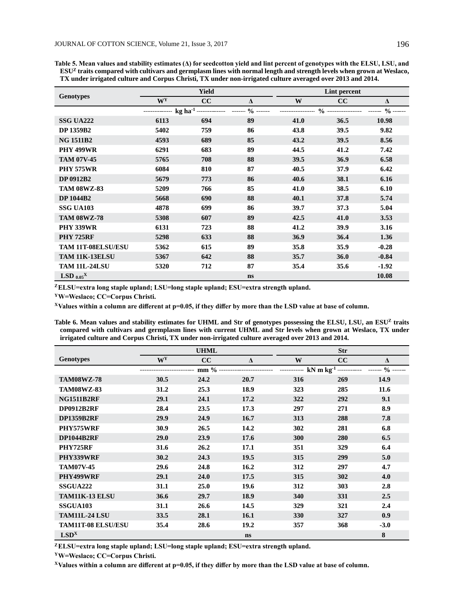|                           |                                                  | <b>Yield</b> |                      |      | Lint percent                   |                      |
|---------------------------|--------------------------------------------------|--------------|----------------------|------|--------------------------------|----------------------|
| <b>Genotypes</b>          | $W^Y$                                            | CC           | $\Delta$             | W    | CC                             | Δ                    |
|                           | ------------- kg ha <sup>-1</sup> -------------- |              | $\frac{0}{0}$ ------ |      | $\frac{0}{0}$ ---------------- | $\frac{0}{0}$ ------ |
| SSG UA222                 | 6113                                             | 694          | 89                   | 41.0 | 36.5                           | 10.98                |
| DP 1359B2                 | 5402                                             | 759          | 86                   | 43.8 | 39.5                           | 9.82                 |
| <b>NG 1511B2</b>          | 4593                                             | 689          | 85                   | 43.2 | 39.5                           | 8.56                 |
| <b>PHY 499WR</b>          | 6291                                             | 683          | 89                   | 44.5 | 41.2                           | 7.42                 |
| <b>TAM 07V-45</b>         | 5765                                             | 708          | 88                   | 39.5 | 36.9                           | 6.58                 |
| <b>PHY 575WR</b>          | 6084                                             | 810          | 87                   | 40.5 | 37.9                           | 6.42                 |
| <b>DP 0912B2</b>          | 5679                                             | 773          | 86                   | 40.6 | 38.1                           | 6.16                 |
| <b>TAM 08WZ-83</b>        | 5209                                             | 766          | 85                   | 41.0 | 38.5                           | 6.10                 |
| <b>DP 1044B2</b>          | 5668                                             | 690          | 88                   | 40.1 | 37.8                           | 5.74                 |
| SSG UA103                 | 4878                                             | 699          | 86                   | 39.7 | 37.3                           | 5.04                 |
| <b>TAM 08WZ-78</b>        | 5308                                             | 607          | 89                   | 42.5 | 41.0                           | 3.53                 |
| <b>PHY 339WR</b>          | 6131                                             | 723          | 88                   | 41.2 | 39.9                           | 3.16                 |
| <b>PHY 725RF</b>          | 5298                                             | 633          | 88                   | 36.9 | 36.4                           | 1.36                 |
| <b>TAM 11T-08ELSU/ESU</b> | 5362                                             | 615          | 89                   | 35.8 | 35.9                           | $-0.28$              |
| TAM 11K-13ELSU            | 5367                                             | 642          | 88                   | 35.7 | 36.0                           | $-0.84$              |
| <b>TAM 11L-24LSU</b>      | 5320                                             | 712          | 87                   | 35.4 | 35.6                           | $-1.92$              |
| LSD $_{0.05}$ X           |                                                  |              | ns                   |      |                                | 10.08                |

**Table 5. Mean values and stability estimates (Δ) for seedcotton yield and lint percent of genotypes with the ELSU, LSU, and ESUZ traits compared with cultivars and germplasm lines with normal length and strength levels when grown at Weslaco, TX under irrigated culture and Corpus Christi, TX under non-irrigated culture averaged over 2013 and 2014.**

**ZELSU=extra long staple upland; LSU=long staple upland; ESU=extra strength upland.**

**<sup>Y</sup>W=Weslaco; CC=Corpus Christi.**

**<sup>X</sup>Values within a column are different at p=0.05, if they differ by more than the LSD value at base of column.**

Table 6. Mean values and stability estimates for UHML and Str of genotypes possessing the ELSU, LSU, an ESU<sup>z</sup> traits **compared with cultivars and germplasm lines with current UHML and Str levels when grown at Weslaco, TX under irrigated culture and Corpus Christi, TX under non-irrigated culture averaged over 2013 and 2014.**

|                           |       | <b>UHML</b> |          |                                               | <b>Str</b> |                      |
|---------------------------|-------|-------------|----------|-----------------------------------------------|------------|----------------------|
| <b>Genotypes</b>          | $W^Y$ | cc          | $\Delta$ | W                                             | cc         | $\Delta$             |
|                           |       |             |          | ----------- kN m kg <sup>-1</sup> ----------- |            | $\frac{0}{0}$ ------ |
| <b>TAM08WZ-78</b>         | 30.5  | 24.2        | 20.7     | 316                                           | 269        | 14.9                 |
| <b>TAM08WZ-83</b>         | 31.2  | 25.3        | 18.9     | 323                                           | 285        | 11.6                 |
| <b>NG1511B2RF</b>         | 29.1  | 24.1        | 17.2     | 322                                           | 292        | 9.1                  |
| <b>DP0912B2RF</b>         | 28.4  | 23.5        | 17.3     | 297                                           | 271        | 8.9                  |
| <b>DP1359B2RF</b>         | 29.9  | 24.9        | 16.7     | 313                                           | 288        | 7.8                  |
| PHY575WRF                 | 30.9  | 26.5        | 14.2     | 302                                           | 281        | 6.8                  |
| <b>DP1044B2RF</b>         | 29.0  | 23.9        | 17.6     | 300                                           | 280        | 6.5                  |
| <b>PHY725RF</b>           | 31.6  | 26.2        | 17.1     | 351                                           | 329        | 6.4                  |
| PHY339WRF                 | 30.2  | 24.3        | 19.5     | 315                                           | 299        | 5.0                  |
| <b>TAM07V-45</b>          | 29.6  | 24.8        | 16.2     | 312                                           | 297        | 4.7                  |
| PHY499WRF                 | 29.1  | 24.0        | 17.5     | 315                                           | 302        | 4.0                  |
| SSGUA222                  | 31.1  | 25.0        | 19.6     | 312                                           | 303        | 2.8                  |
| <b>TAM11K-13 ELSU</b>     | 36.6  | 29.7        | 18.9     | 340                                           | 331        | 2.5                  |
| SSGUA <sub>103</sub>      | 31.1  | 26.6        | 14.5     | 329                                           | 321        | 2.4                  |
| <b>TAM11L-24 LSU</b>      | 33.5  | 28.1        | 16.1     | 330                                           | 327        | 0.9                  |
| <b>TAM11T-08 ELSU/ESU</b> | 35.4  | 28.6        | 19.2     | 357                                           | 368        | $-3.0$               |
| LSD <sup>X</sup>          |       |             | ns       |                                               |            | 8                    |

**<sup>Z</sup>ELSU=extra long staple upland; LSU=long staple upland; ESU=extra strength upland.**

**<sup>Y</sup>W=Weslaco; CC=Corpus Christi.**

**XValues within a column are different at p=0.05, if they differ by more than the LSD value at base of column.**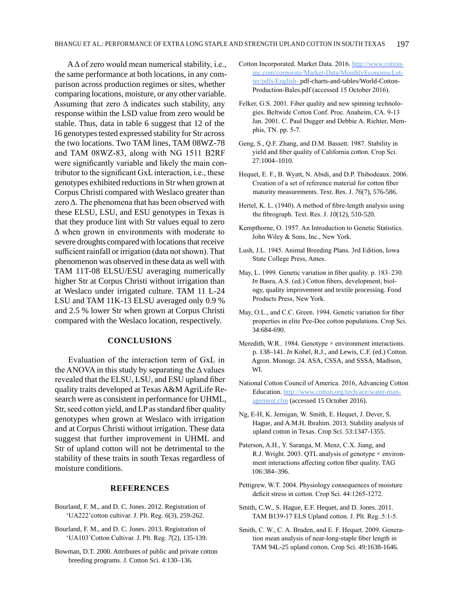$A \Delta$  of zero would mean numerical stability, i.e., the same performance at both locations, in any comparison across production regimes or sites, whether comparing locations, moisture, or any other variable. Assuming that zero  $\Delta$  indicates such stability, any response within the LSD value from zero would be stable. Thus, data in table 6 suggest that 12 of the 16 genotypes tested expressed stability for Str across the two locations. Two TAM lines, TAM 08WZ-78 and TAM 08WZ-83, along with NG 1511 B2RF were significantly variable and likely the main contributor to the significant GxL interaction, i.e., these genotypes exhibited reductions in Str when grown at Corpus Christi compared with Weslaco greater than zero  $\Delta$ . The phenomena that has been observed with these ELSU, LSU, and ESU genotypes in Texas is that they produce lint with Str values equal to zero Δ when grown in environments with moderate to severe droughts compared with locations that receive sufficient rainfall or irrigation (data not shown). That phenomenon was observed in these data as well with TAM 11T-08 ELSU/ESU averaging numerically higher Str at Corpus Christi without irrigation than at Weslaco under irrigated culture. TAM 11 L-24 LSU and TAM 11K-13 ELSU averaged only 0.9 % and 2.5 % lower Str when grown at Corpus Christi compared with the Weslaco location, respectively.

#### **CONCLUSIONS**

Evaluation of the interaction term of GxL in the ANOVA in this study by separating the  $\Delta$  values revealed that the ELSU, LSU, and ESU upland fiber quality traits developed at Texas A&M AgriLife Research were as consistent in performance for UHML, Str, seed cotton yield, and LP as standard fiber quality genotypes when grown at Weslaco with irrigation and at Corpus Christi without irrigation. These data suggest that further improvement in UHML and Str of upland cotton will not be detrimental to the stability of these traits in south Texas regardless of moisture conditions.

#### **REFERENCES**

- Bourland, F. M., and D. C. Jones. 2012. Registration of 'UA222'cotton cultivar. J. Plt. Reg. *6*(3), 259-262.
- Bourland, F. M., and D. C. Jones. 2013. Registration of 'UA103'Cotton Cultivar. J. Plt. Reg. *7*(2), 135-139.
- Bowman, D.T. 2000. Attributes of public and private cotton breeding programs. J. Cotton Sci. 4:130–136.
- Cotton Incorporated. Market Data. 2016. [http://www.cotton](http://www.cottoninc.com/corporate/Market-Data/MonthlyEconomicLetter/pdfs/English-)[inc.com/corporate/Market-Data/MonthlyEconomicLet](http://www.cottoninc.com/corporate/Market-Data/MonthlyEconomicLetter/pdfs/English-)[ter/pdfs/English-](http://www.cottoninc.com/corporate/Market-Data/MonthlyEconomicLetter/pdfs/English-) pdf-charts-and-tables/World-Cotton-Production-Bales.pdf (accessed 15 October 2016).
- Felker, G.S. 2001. Fiber quality and new spinning technologies. Beltwide Cotton Conf. Proc. Anaheim, CA. 9-13 Jan. 2001. C. Paul Dugger and Debbie A. Richter, Memphis, TN. pp. 5-7.
- Geng, S., Q.F. Zhang, and D.M. Bassett. 1987. Stability in yield and fiber quality of California cotton. Crop Sci. 27:1004–1010.
- Hequet, E. F., B. Wyatt, N. Abidi, and D.P. Thibodeaux. 2006. Creation of a set of reference material for cotton fiber maturity measurements. Text. Res. J. *76*(7), 576-586.
- Hertel, K. L. (1940). A method of fibre-length analysis using the fibrograph. Text. Res. J. *10*(12), 510-520.
- Kempthorne, O. 1957. An Introduction to Genetic Statistics. John Wiley & Sons, Inc., New York.
- Lush, J.L. 1945. Animal Breeding Plans. 3rd Edition, Iowa State College Press, Ames.
- May, L. 1999. Genetic variation in fiber quality. p. 183–230. *In* Basra, A.S. (ed.) Cotton fibers, development, biology, quality improvement and textile processing. Food Products Press, New York.
- May, O.L., and C.C. Green. 1994. Genetic variation for fiber properties in elite Pee-Dee cotton populations. Crop Sci. 34:684-690.
- Meredith, W.R.. 1984. Genotype × environment interactions. p. 138–141. *In* Kohel, R.J., and Lewis, C.F. (ed.) Cotton. Agron. Monogr. 24. ASA, CSSA, and SSSA, Madison, WI.
- National Cotton Council of America. 2016, Advancing Cotton Education. [http://www.cotton.org/tech/ace/water-man](http://www.cotton.org/tech/ace/water-management.cfm)[agement.cfm](http://www.cotton.org/tech/ace/water-management.cfm) (accessed 15 October 2016).
- Ng, E-H, K. Jernigan, W. Smith, E. Hequet, J. Dever, S. Hague, and A.M.H. Ibrahim. 2013. Stability analysis of upland cotton in Texas. Crop Sci. 53:1347-1355.
- Paterson, A.H., Y. Saranga, M. Menz, C.X. Jiang, and R.J. Wright. 2003. QTL analysis of genotype × environment interactions affecting cotton fiber quality. TAG 106:384–396.
- Pettigrew, W.T. 2004. Physiology consequences of moisture deficit stress in cotton. Crop Sci. 44:1265-1272.
- Smith, C.W., S. Hague, E.F. Hequet, and D. Jones. 2011. TAM B139-17 ELS Upland cotton. J. Plt. Reg..5:1-5.
- Smith, C. W., C. A. Braden, and E. F. Hequet. 2009. Generation mean analysis of near-long-staple fiber length in TAM 94L-25 upland cotton. Crop Sci. 49:1638-1646.